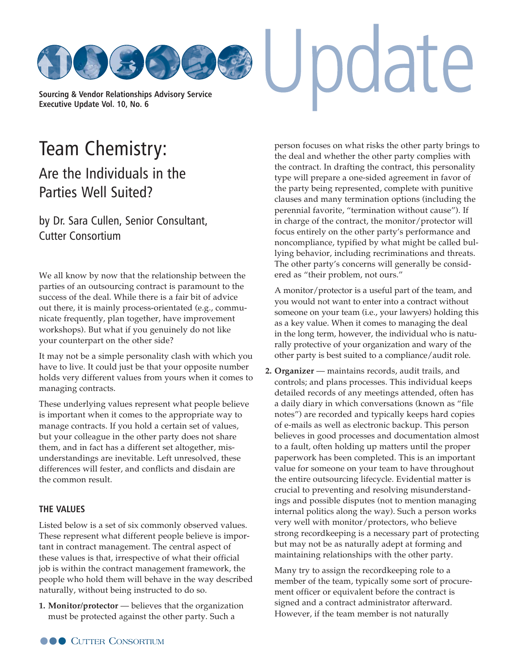

[Team Chemistry:](http://www.cutter.com)  Are the Individuals in the Parties Well Suited?

by Dr. Sara Cullen, Senior Consultant, Cutter Consortium

We all know by now that the relationship between the parties of an outsourcing contract is paramount to the success of the deal. While there is a fair bit of advice out there, it is mainly process-orientated (e.g., communicate frequently, plan together, have improvement workshops). But what if you genuinely do not like your counterpart on the other side?

It may not be a simple personality clash with which you have to live. It could just be that your opposite number holds very different values from yours when it comes to managing contracts.

These underlying values represent what people believe is important when it comes to the appropriate way to manage contracts. If you hold a certain set of values, but your colleague in the other party does not share them, and in fact has a different set altogether, misunderstandings are inevitable. Left unresolved, these differences will fester, and conflicts and disdain are the common result.

## **THE VALUES**

Listed below is a set of six commonly observed values. These represent what different people believe is important in contract management. The central aspect of these values is that, irrespective of what their official job is within the contract management framework, the people who hold them will behave in the way described naturally, without being instructed to do so.

**1. Monitor/protector** — believes that the organization must be protected against the other party. Such a

person focuses on what risks the other party brings to the deal and whether the other party complies with the contract. In drafting the contract, this personality type will prepare a one-sided agreement in favor of the party being represented, complete with punitive clauses and many termination options (including the perennial favorite, "termination without cause"). If in charge of the contract, the monitor/protector will focus entirely on the other party's performance and noncompliance, typified by what might be called bullying behavior, including recriminations and threats. The other party's concerns will generally be considered as "their problem, not ours."

A monitor/protector is a useful part of the team, and you would not want to enter into a contract without someone on your team (i.e., your lawyers) holding this as a key value. When it comes to managing the deal in the long term, however, the individual who is naturally protective of your organization and wary of the other party is best suited to a compliance/audit role.

**2. Organizer** — maintains records, audit trails, and controls; and plans processes. This individual keeps detailed records of any meetings attended, often has a daily diary in which conversations (known as "file notes") are recorded and typically keeps hard copies of e-mails as well as electronic backup. This person believes in good processes and documentation almost to a fault, often holding up matters until the proper paperwork has been completed. This is an important value for someone on your team to have throughout the entire outsourcing lifecycle. Evidential matter is crucial to preventing and resolving misunderstandings and possible disputes (not to mention managing internal politics along the way). Such a person works very well with monitor/protectors, who believe strong recordkeeping is a necessary part of protecting but may not be as naturally adept at forming and maintaining relationships with the other party.

Many try to assign the recordkeeping role to a member of the team, typically some sort of procurement officer or equivalent before the contract is signed and a contract administrator afterward. However, if the team member is not naturally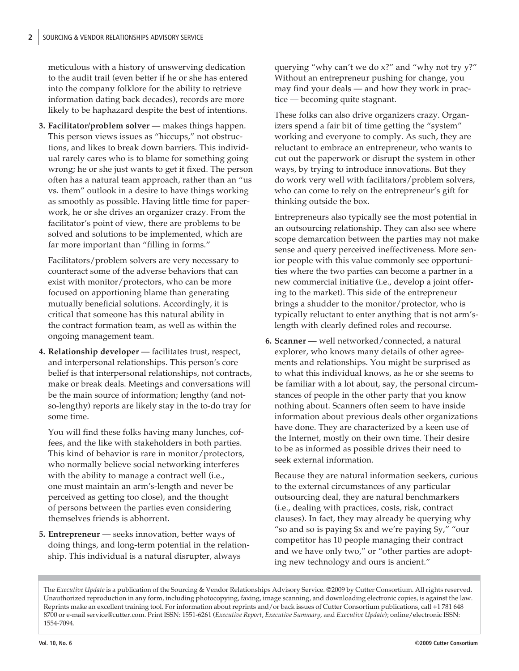meticulous with a history of unswerving dedication to the audit trail (even better if he or she has entered into the company folklore for the ability to retrieve information dating back decades), records are more likely to be haphazard despite the best of intentions.

**3. Facilitator/problem solver** — makes things happen. This person views issues as "hiccups," not obstructions, and likes to break down barriers. This individual rarely cares who is to blame for something going wrong; he or she just wants to get it fixed. The person often has a natural team approach, rather than an "us vs. them" outlook in a desire to have things working as smoothly as possible. Having little time for paperwork, he or she drives an organizer crazy. From the facilitator's point of view, there are problems to be solved and solutions to be implemented, which are far more important than "filling in forms."

Facilitators/problem solvers are very necessary to counteract some of the adverse behaviors that can exist with monitor/protectors, who can be more focused on apportioning blame than generating mutually beneficial solutions. Accordingly, it is critical that someone has this natural ability in the contract formation team, as well as within the ongoing management team.

**4. Relationship developer** — facilitates trust, respect, and interpersonal relationships. This person's core belief is that interpersonal relationships, not contracts, make or break deals. Meetings and conversations will be the main source of information; lengthy (and notso-lengthy) reports are likely stay in the to-do tray for some time.

You will find these folks having many lunches, coffees, and the like with stakeholders in both parties. This kind of behavior is rare in monitor/protectors, who normally believe social networking interferes with the ability to manage a contract well (i.e., one must maintain an arm's-length and never be perceived as getting too close), and the thought of persons between the parties even considering themselves friends is abhorrent.

**5. Entrepreneur** — seeks innovation, better ways of doing things, and long-term potential in the relationship. This individual is a natural disrupter, always

querying "why can't we do x?" and "why not try y?" Without an entrepreneur pushing for change, you may find your deals — and how they work in practice — becoming quite stagnant.

These folks can also drive organizers crazy. Organizers spend a fair bit of time getting the "system" working and everyone to comply. As such, they are reluctant to embrace an entrepreneur, who wants to cut out the paperwork or disrupt the system in other ways, by trying to introduce innovations. But they do work very well with facilitators/problem solvers, who can come to rely on the entrepreneur's gift for thinking outside the box.

Entrepreneurs also typically see the most potential in an outsourcing relationship. They can also see where scope demarcation between the parties may not make sense and query perceived ineffectiveness. More senior people with this value commonly see opportunities where the two parties can become a partner in a new commercial initiative (i.e., develop a joint offering to the market). This side of the entrepreneur brings a shudder to the monitor/protector, who is typically reluctant to enter anything that is not arm'slength with clearly defined roles and recourse.

**6. Scanner** — well networked/connected, a natural explorer, who knows many details of other agreements and relationships. You might be surprised as to what this individual knows, as he or she seems to be familiar with a lot about, say, the personal circumstances of people in the other party that you know nothing about. Scanners often seem to have inside information about previous deals other organizations have done. They are characterized by a keen use of the Internet, mostly on their own time. Their desire to be as informed as possible drives their need to seek external information.

Because they are natural information seekers, curious to the external circumstances of any particular outsourcing deal, they are natural benchmarkers (i.e., dealing with practices, costs, risk, contract clauses). In fact, they may already be querying why "so and so is paying \$x and we're paying \$y," "our competitor has 10 people managing their contract and we have only two," or "other parties are adopting new technology and ours is ancient."

The *Executive Update* is a publication of the Sourcing & Vendor Relationships Advisory Service. ©2009 by Cutter Consortium. All rights reserved. Unauthorized reproduction in any form, including photocopying, faxing, image scanning, and downloading electronic copies, is against the law. Reprints make an excellent training tool. For information about reprints and/or back issues of Cutter Consortium publications, call +1 781 648 8700 or e-ma[il service@cutter.com. Print I](mailto:service@cutter.com)SSN: 1551-6261 (*Executive Report*, *Executive Summary,* and *Executive Update*); online/electronic ISSN: 1554-7094.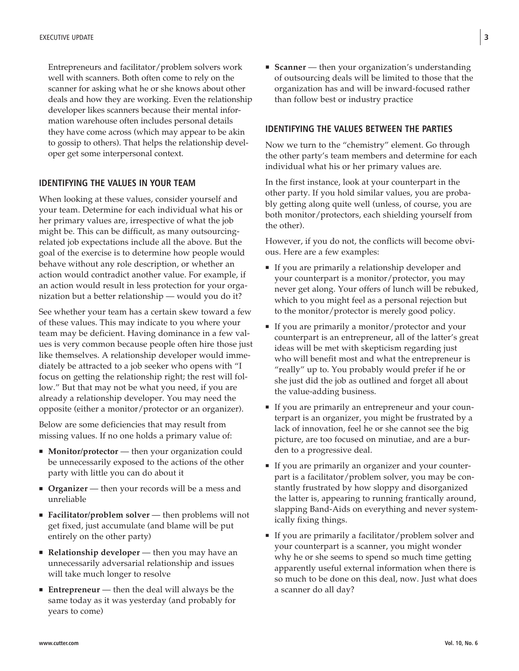Entrepreneurs and facilitator/problem solvers work well with scanners. Both often come to rely on the scanner for asking what he or she knows about other deals and how they are working. Even the relationship developer likes scanners because their mental information warehouse often includes personal details they have come across (which may appear to be akin to gossip to others). That helps the relationship developer get some interpersonal context.

## **IDENTIFYING THE VALUES IN YOUR TEAM**

When looking at these values, consider yourself and your team. Determine for each individual what his or her primary values are, irrespective of what the job might be. This can be difficult, as many outsourcingrelated job expectations include all the above. But the goal of the exercise is to determine how people would behave without any role description, or whether an action would contradict another value. For example, if an action would result in less protection for your organization but a better relationship — would you do it?

See whether your team has a certain skew toward a few of these values. This may indicate to you where your team may be deficient. Having dominance in a few values is very common because people often hire those just like themselves. A relationship developer would immediately be attracted to a job seeker who opens with "I focus on getting the relationship right; the rest will follow." But that may not be what you need, if you are already a relationship developer. You may need the opposite (either a monitor/protector or an organizer).

Below are some deficiencies that may result from missing values. If no one holds a primary value of:

- **Monitor/protector** then your organization could be unnecessarily exposed to the actions of the other party with little you can do about it
- **Organizer** then your records will be a mess and unreliable
- **Facilitator/problem solver** then problems will not get fixed, just accumulate (and blame will be put entirely on the other party)
- **Relationship developer** then you may have an unnecessarily adversarial relationship and issues will take much longer to resolve
- **Entrepreneur** then the deal will always be the same today as it was yesterday (and probably for years to come)

■ **Scanner** — then your organization's understanding of outsourcing deals will be limited to those that the organization has and will be inward-focused rather than follow best or industry practice

## **IDENTIFYING THE VALUES BETWEEN THE PARTIES**

Now we turn to the "chemistry" element. Go through the other party's team members and determine for each individual what his or her primary values are.

In the first instance, look at your counterpart in the other party. If you hold similar values, you are probably getting along quite well (unless, of course, you are both monitor/protectors, each shielding yourself from the other).

However, if you do not, the conflicts will become obvious. Here are a few examples:

- If you are primarily a relationship developer and your counterpart is a monitor/protector, you may never get along. Your offers of lunch will be rebuked, which to you might feel as a personal rejection but to the monitor/protector is merely good policy.
- If you are primarily a monitor/protector and your counterpart is an entrepreneur, all of the latter's great ideas will be met with skepticism regarding just who will benefit most and what the entrepreneur is "really" up to. You probably would prefer if he or she just did the job as outlined and forget all about the value-adding business.
- If you are primarily an entrepreneur and your counterpart is an organizer, you might be frustrated by a lack of innovation, feel he or she cannot see the big picture, are too focused on minutiae, and are a burden to a progressive deal.
- If you are primarily an organizer and your counterpart is a facilitator/problem solver, you may be constantly frustrated by how sloppy and disorganized the latter is, appearing to running frantically around, slapping Band-Aids on everything and never systemically fixing things.
- If you are primarily a facilitator/problem solver and your counterpart is a scanner, you might wonder why he or she seems to spend so much time getting apparently useful external information when there is so much to be done on this deal, now. Just what does a scanner do all day?